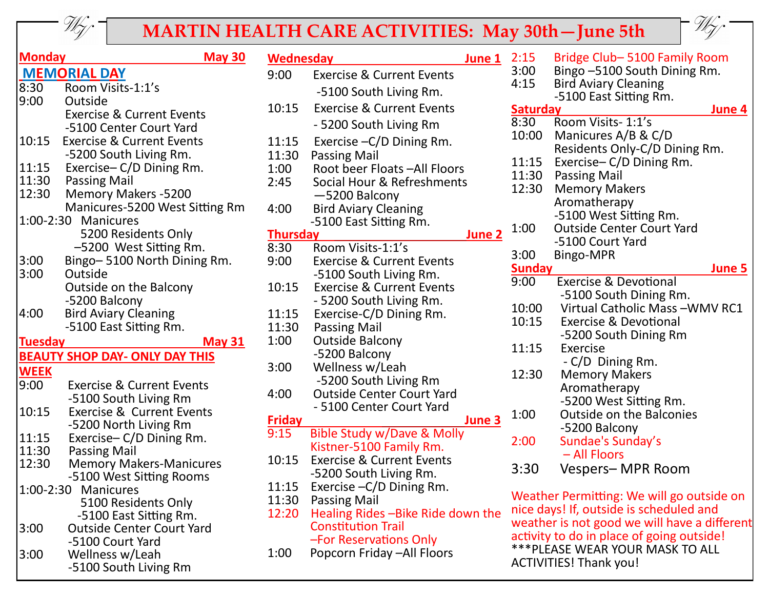

## **MARTIN HEALTH CARE ACTIVITIES: May 30th—June 5th**



| <b>Monday</b>                         |                                      | <b>May 30</b> | <b>Wednesday</b><br>June 1 |                                       |        | 2:15            | Bridge Club-5100 Family Room                 |               |
|---------------------------------------|--------------------------------------|---------------|----------------------------|---------------------------------------|--------|-----------------|----------------------------------------------|---------------|
| <b>MEMORIAL DAY</b>                   |                                      |               | 9:00                       | <b>Exercise &amp; Current Events</b>  |        | 3:00            | Bingo -5100 South Dining Rm.                 |               |
| 8:30                                  | Room Visits-1:1's                    |               |                            | -5100 South Living Rm.                |        | 4:15            | <b>Bird Aviary Cleaning</b>                  |               |
| 9:00                                  | Outside                              |               |                            |                                       |        |                 | -5100 East Sitting Rm.                       |               |
|                                       | <b>Exercise &amp; Current Events</b> |               | 10:15                      | <b>Exercise &amp; Current Events</b>  |        | <b>Saturday</b> |                                              | June 4        |
|                                       | -5100 Center Court Yard              |               |                            | - 5200 South Living Rm                |        | 8:30            | Room Visits- 1:1's                           |               |
| 10:15                                 | <b>Exercise &amp; Current Events</b> |               | 11:15                      | Exercise - C/D Dining Rm.             |        | 10:00           | Manicures A/B & C/D                          |               |
|                                       | -5200 South Living Rm.               |               | 11:30                      | Passing Mail                          |        |                 | Residents Only-C/D Dining Rm.                |               |
| 11:15                                 | Exercise-C/D Dining Rm.              |               | 1:00                       | Root beer Floats - All Floors         |        | 11:15           | Exercise - C/D Dining Rm.                    |               |
| 11:30                                 | Passing Mail                         |               | 2:45                       | Social Hour & Refreshments            |        | 11:30           | <b>Passing Mail</b>                          |               |
| 12:30                                 | <b>Memory Makers -5200</b>           |               |                            | $-5200$ Balcony                       |        | 12:30           | <b>Memory Makers</b>                         |               |
|                                       | Manicures-5200 West Sitting Rm       |               | 4:00                       | <b>Bird Aviary Cleaning</b>           |        |                 | Aromatherapy                                 |               |
|                                       | 1:00-2:30 Manicures                  |               |                            | -5100 East Sitting Rm.                |        |                 | -5100 West Sitting Rm.                       |               |
|                                       | 5200 Residents Only                  |               | <b>Thursday</b>            |                                       | June 2 | 1:00            | <b>Outside Center Court Yard</b>             |               |
|                                       | -5200 West Sitting Rm.               |               | 8:30                       | Room Visits-1:1's                     |        |                 | -5100 Court Yard                             |               |
| 3:00                                  | Bingo-5100 North Dining Rm.          |               | 9:00                       | <b>Exercise &amp; Current Events</b>  |        | 3:00            | Bingo-MPR                                    |               |
| 3:00                                  | Outside                              |               |                            | -5100 South Living Rm.                |        | <b>Sunday</b>   |                                              | <b>June 5</b> |
|                                       | Outside on the Balcony               |               | 10:15                      | <b>Exercise &amp; Current Events</b>  |        | 9:00            | <b>Exercise &amp; Devotional</b>             |               |
|                                       | -5200 Balcony                        |               |                            | - 5200 South Living Rm.               |        |                 | -5100 South Dining Rm.                       |               |
| 4:00                                  | <b>Bird Aviary Cleaning</b>          |               | 11:15                      | Exercise-C/D Dining Rm.               |        | 10:00           | Virtual Catholic Mass-WMV RC1                |               |
|                                       | -5100 East Sitting Rm.               |               | 11:30                      | <b>Passing Mail</b>                   |        | 10:15           | <b>Exercise &amp; Devotional</b>             |               |
| <b>Tuesday</b>                        |                                      | May $31$      | 1:00                       | <b>Outside Balcony</b>                |        |                 | -5200 South Dining Rm                        |               |
| <b>BEAUTY SHOP DAY- ONLY DAY THIS</b> |                                      |               |                            | -5200 Balcony                         |        | 11:15           | Exercise                                     |               |
|                                       |                                      |               | 3:00                       | Wellness w/Leah                       |        |                 | - C/D Dining Rm.                             |               |
| <b>WEEK</b>                           |                                      |               |                            | -5200 South Living Rm                 |        | 12:30           | <b>Memory Makers</b>                         |               |
| 9:00                                  | <b>Exercise &amp; Current Events</b> |               | 4:00                       | <b>Outside Center Court Yard</b>      |        |                 | Aromatherapy                                 |               |
|                                       | -5100 South Living Rm                |               |                            | - 5100 Center Court Yard              |        |                 | -5200 West Sitting Rm.                       |               |
| 10:15                                 | <b>Exercise &amp; Current Events</b> |               | <b>Friday</b>              |                                       | June 3 | 1:00            | <b>Outside on the Balconies</b>              |               |
|                                       | -5200 North Living Rm                |               | 9:15                       | <b>Bible Study w/Dave &amp; Molly</b> |        |                 | -5200 Balcony                                |               |
| 11:15                                 | Exercise-C/D Dining Rm.              |               |                            | Kistner-5100 Family Rm.               |        | 2:00            | Sundae's Sunday's                            |               |
| 11:30                                 | Passing Mail                         |               | 10:15                      | <b>Exercise &amp; Current Events</b>  |        |                 | - All Floors                                 |               |
| 12:30                                 | <b>Memory Makers-Manicures</b>       |               |                            | -5200 South Living Rm.                |        | 3:30            | Vespers-MPR Room                             |               |
|                                       | -5100 West Sitting Rooms             |               |                            | 11:15 Exercise - C/D Dining Rm.       |        |                 |                                              |               |
|                                       | 1:00-2:30 Manicures                  |               | 11:30                      | <b>Passing Mail</b>                   |        |                 | Weather Permitting: We will go outside on    |               |
|                                       | 5100 Residents Only                  |               | 12:20                      | Healing Rides-Bike Ride down the      |        |                 | nice days! If, outside is scheduled and      |               |
|                                       | -5100 East Sitting Rm.               |               |                            | <b>Constitution Trail</b>             |        |                 | weather is not good we will have a different |               |
| 3:00                                  | <b>Outside Center Court Yard</b>     |               |                            | -For Reservations Only                |        |                 | activity to do in place of going outside!    |               |
|                                       | -5100 Court Yard                     |               | 1:00                       | Popcorn Friday - All Floors           |        |                 | *** PLEASE WEAR YOUR MASK TO ALL             |               |
| 3:00                                  | Wellness w/Leah                      |               |                            |                                       |        |                 | <b>ACTIVITIES! Thank you!</b>                |               |
|                                       | -5100 South Living Rm                |               |                            |                                       |        |                 |                                              |               |